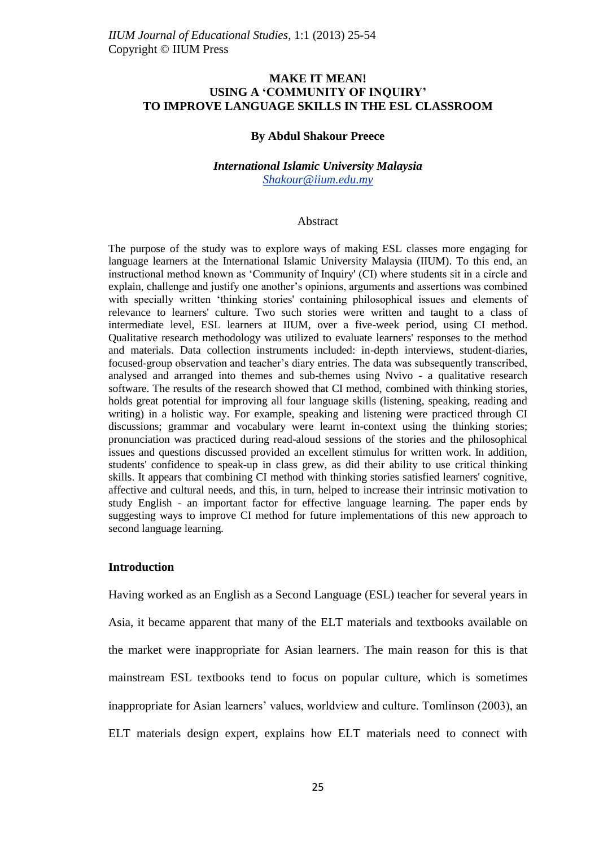# **MAKE IT MEAN! USING A 'COMMUNITY OF INQUIRY' TO IMPROVE LANGUAGE SKILLS IN THE ESL CLASSROOM**

#### **By Abdul Shakour Preece**

### *International Islamic University Malaysia [Shakour@iium.edu.my](mailto:Shakour@iium.edu.my)*

#### Abstract

The purpose of the study was to explore ways of making ESL classes more engaging for language learners at the International Islamic University Malaysia (IIUM). To this end, an instructional method known as "Community of Inquiry' (CI) where students sit in a circle and explain, challenge and justify one another"s opinions, arguments and assertions was combined with specially written "thinking stories' containing philosophical issues and elements of relevance to learners' culture. Two such stories were written and taught to a class of intermediate level, ESL learners at IIUM, over a five-week period, using CI method. Qualitative research methodology was utilized to evaluate learners' responses to the method and materials. Data collection instruments included: in-depth interviews, student-diaries, focused-group observation and teacher"s diary entries. The data was subsequently transcribed, analysed and arranged into themes and sub-themes using Nvivo - a qualitative research software. The results of the research showed that CI method, combined with thinking stories, holds great potential for improving all four language skills (listening, speaking, reading and writing) in a holistic way. For example, speaking and listening were practiced through CI discussions; grammar and vocabulary were learnt in-context using the thinking stories; pronunciation was practiced during read-aloud sessions of the stories and the philosophical issues and questions discussed provided an excellent stimulus for written work. In addition, students' confidence to speak-up in class grew, as did their ability to use critical thinking skills. It appears that combining CI method with thinking stories satisfied learners' cognitive, affective and cultural needs, and this, in turn, helped to increase their intrinsic motivation to study English - an important factor for effective language learning. The paper ends by suggesting ways to improve CI method for future implementations of this new approach to second language learning.

### **Introduction**

Having worked as an English as a Second Language (ESL) teacher for several years in Asia, it became apparent that many of the ELT materials and textbooks available on the market were inappropriate for Asian learners. The main reason for this is that mainstream ESL textbooks tend to focus on popular culture, which is sometimes inappropriate for Asian learners' values, worldview and culture. Tomlinson (2003), an ELT materials design expert, explains how ELT materials need to connect with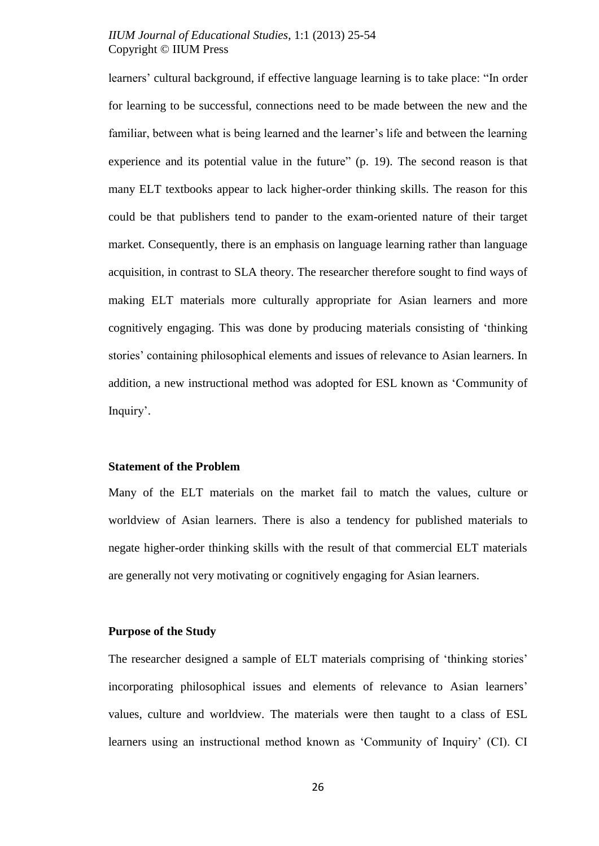learners' cultural background, if effective language learning is to take place: "In order for learning to be successful, connections need to be made between the new and the familiar, between what is being learned and the learner's life and between the learning experience and its potential value in the future" (p. 19). The second reason is that many ELT textbooks appear to lack higher-order thinking skills. The reason for this could be that publishers tend to pander to the exam-oriented nature of their target market. Consequently, there is an emphasis on language learning rather than language acquisition, in contrast to SLA theory. The researcher therefore sought to find ways of making ELT materials more culturally appropriate for Asian learners and more cognitively engaging. This was done by producing materials consisting of "thinking stories" containing philosophical elements and issues of relevance to Asian learners. In addition, a new instructional method was adopted for ESL known as "Community of Inquiry'.

#### **Statement of the Problem**

Many of the ELT materials on the market fail to match the values, culture or worldview of Asian learners. There is also a tendency for published materials to negate higher-order thinking skills with the result of that commercial ELT materials are generally not very motivating or cognitively engaging for Asian learners.

#### **Purpose of the Study**

The researcher designed a sample of ELT materials comprising of "thinking stories" incorporating philosophical issues and elements of relevance to Asian learners" values, culture and worldview. The materials were then taught to a class of ESL learners using an instructional method known as "Community of Inquiry" (CI). CI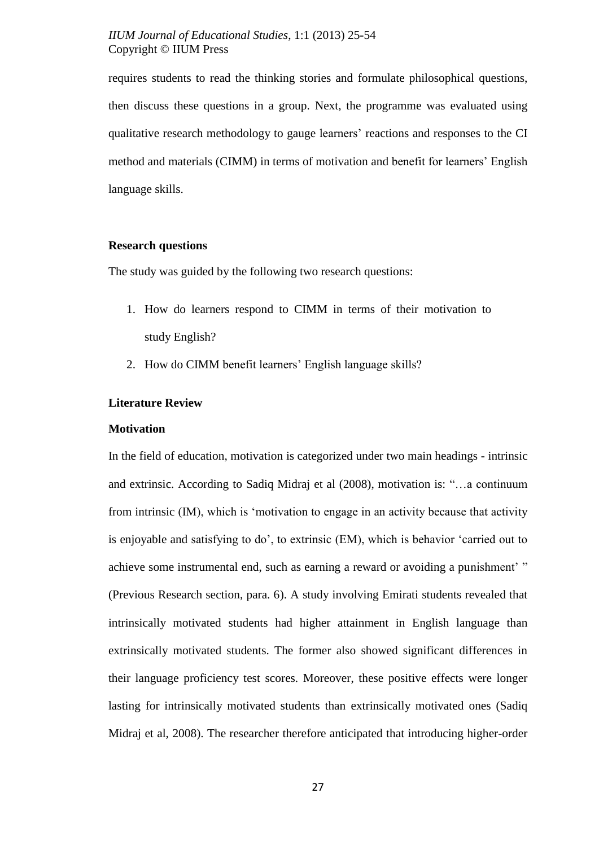requires students to read the thinking stories and formulate philosophical questions, then discuss these questions in a group. Next, the programme was evaluated using qualitative research methodology to gauge learners" reactions and responses to the CI method and materials (CIMM) in terms of motivation and benefit for learners" English language skills.

#### **Research questions**

The study was guided by the following two research questions:

- 1. How do learners respond to CIMM in terms of their motivation to study English?
- 2. How do CIMM benefit learners' English language skills?

# **Literature Review**

#### **Motivation**

In the field of education, motivation is categorized under two main headings - intrinsic and extrinsic. According to [Sadiq Midraj](javascript:void(0);) et al (2008), motivation is: "…a continuum from intrinsic (IM), which is "motivation to engage in an activity because that activity is enjoyable and satisfying to do", to extrinsic (EM), which is behavior "carried out to achieve some instrumental end, such as earning a reward or avoiding a punishment' " (Previous Research section, para. 6). A study involving Emirati students revealed that intrinsically motivated students had higher attainment in English language than extrinsically motivated students. The former also showed significant differences in their language proficiency test scores. Moreover, these positive effects were longer lasting for intrinsically motivated students than extrinsically motivated ones [\(Sadiq](javascript:void(0);)  [Midraj](javascript:void(0);) et al, 2008). The researcher therefore anticipated that introducing higher-order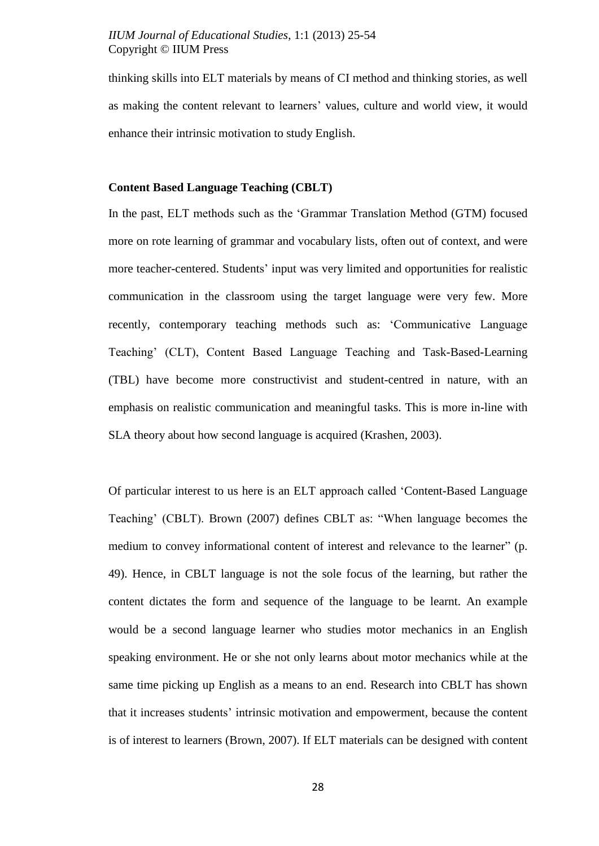thinking skills into ELT materials by means of CI method and thinking stories, as well as making the content relevant to learners" values, culture and world view, it would enhance their intrinsic motivation to study English.

# **Content Based Language Teaching (CBLT)**

In the past, ELT methods such as the "Grammar Translation Method (GTM) focused more on rote learning of grammar and vocabulary lists, often out of context, and were more teacher-centered. Students' input was very limited and opportunities for realistic communication in the classroom using the target language were very few. More recently, contemporary teaching methods such as: "Communicative Language Teaching" (CLT), Content Based Language Teaching and Task-Based-Learning (TBL) have become more constructivist and student-centred in nature, with an emphasis on realistic communication and meaningful tasks. This is more in-line with SLA theory about how second language is acquired (Krashen, 2003).

Of particular interest to us here is an ELT approach called "Content-Based Language Teaching" (CBLT). Brown (2007) defines CBLT as: "When language becomes the medium to convey informational content of interest and relevance to the learner" (p. 49). Hence, in CBLT language is not the sole focus of the learning, but rather the content dictates the form and sequence of the language to be learnt. An example would be a second language learner who studies motor mechanics in an English speaking environment. He or she not only learns about motor mechanics while at the same time picking up English as a means to an end. Research into CBLT has shown that it increases students" intrinsic motivation and empowerment, because the content is of interest to learners (Brown, 2007). If ELT materials can be designed with content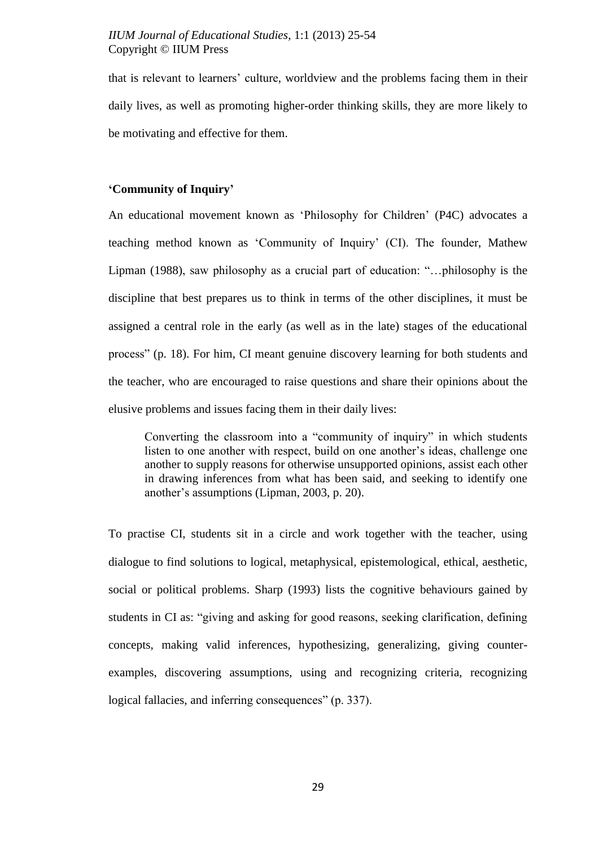that is relevant to learners" culture, worldview and the problems facing them in their daily lives, as well as promoting higher-order thinking skills, they are more likely to be motivating and effective for them.

### **'Community of Inquiry'**

An educational movement known as "Philosophy for Children" (P4C) advocates a teaching method known as "Community of Inquiry" (CI). The founder, Mathew Lipman (1988), saw philosophy as a crucial part of education: "…philosophy is the discipline that best prepares us to think in terms of the other disciplines, it must be assigned a central role in the early (as well as in the late) stages of the educational process" (p. 18). For him, CI meant genuine discovery learning for both students and the teacher, who are encouraged to raise questions and share their opinions about the elusive problems and issues facing them in their daily lives:

Converting the classroom into a "community of inquiry" in which students listen to one another with respect, build on one another's ideas, challenge one another to supply reasons for otherwise unsupported opinions, assist each other in drawing inferences from what has been said, and seeking to identify one another"s assumptions (Lipman, 2003, p. 20).

To practise CI, students sit in a circle and work together with the teacher, using dialogue to find solutions to logical, metaphysical, epistemological, ethical, aesthetic, social or political problems. Sharp (1993) lists the cognitive behaviours gained by students in CI as: "giving and asking for good reasons, seeking clarification, defining concepts, making valid inferences, hypothesizing, generalizing, giving counterexamples, discovering assumptions, using and recognizing criteria, recognizing logical fallacies, and inferring consequences" (p. 337).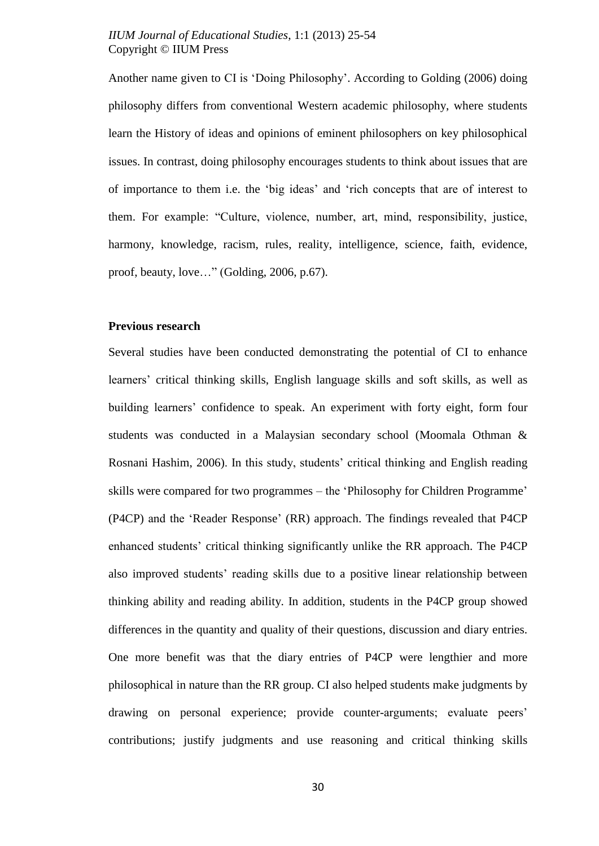Another name given to CI is "Doing Philosophy". According to Golding (2006) doing philosophy differs from conventional Western academic philosophy, where students learn the History of ideas and opinions of eminent philosophers on key philosophical issues. In contrast, doing philosophy encourages students to think about issues that are of importance to them i.e. the "big ideas" and "rich concepts that are of interest to them. For example: "Culture, violence, number, art, mind, responsibility, justice, harmony, knowledge, racism, rules, reality, intelligence, science, faith, evidence, proof, beauty, love…" (Golding, 2006, p.67).

# **Previous research**

Several studies have been conducted demonstrating the potential of CI to enhance learners" critical thinking skills, English language skills and soft skills, as well as building learners" confidence to speak. An experiment with forty eight, form four students was conducted in a Malaysian secondary school (Moomala Othman & Rosnani Hashim, 2006). In this study, students' critical thinking and English reading skills were compared for two programmes – the "Philosophy for Children Programme" (P4CP) and the "Reader Response" (RR) approach. The findings revealed that P4CP enhanced students" critical thinking significantly unlike the RR approach. The P4CP also improved students" reading skills due to a positive linear relationship between thinking ability and reading ability. In addition, students in the P4CP group showed differences in the quantity and quality of their questions, discussion and diary entries. One more benefit was that the diary entries of P4CP were lengthier and more philosophical in nature than the RR group. CI also helped students make judgments by drawing on personal experience; provide counter-arguments; evaluate peers' contributions; justify judgments and use reasoning and critical thinking skills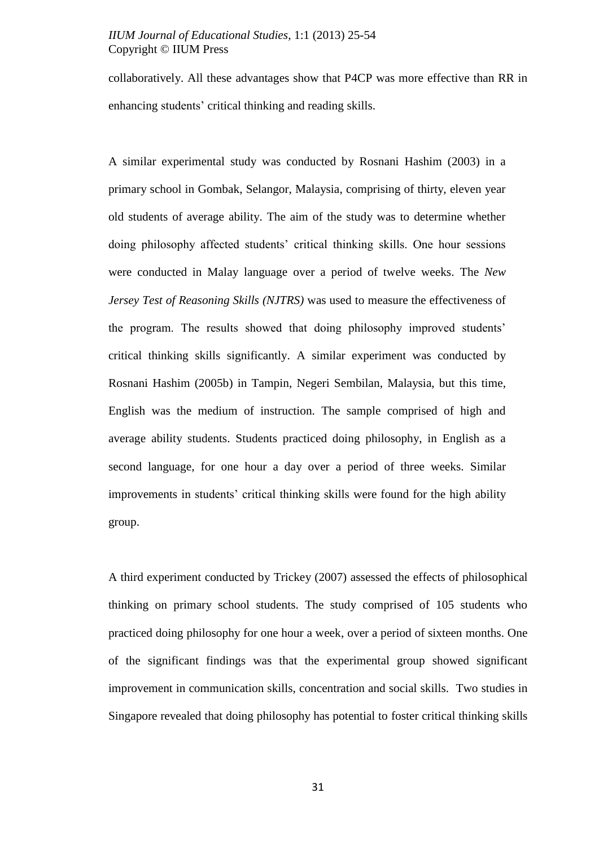collaboratively. All these advantages show that P4CP was more effective than RR in enhancing students' critical thinking and reading skills.

A similar experimental study was conducted by Rosnani Hashim (2003) in a primary school in Gombak, Selangor, Malaysia, comprising of thirty, eleven year old students of average ability. The aim of the study was to determine whether doing philosophy affected students" critical thinking skills. One hour sessions were conducted in Malay language over a period of twelve weeks. The *New Jersey Test of Reasoning Skills (NJTRS)* was used to measure the effectiveness of the program. The results showed that doing philosophy improved students" critical thinking skills significantly. A similar experiment was conducted by Rosnani Hashim (2005b) in Tampin, Negeri Sembilan, Malaysia, but this time, English was the medium of instruction. The sample comprised of high and average ability students. Students practiced doing philosophy, in English as a second language, for one hour a day over a period of three weeks. Similar improvements in students" critical thinking skills were found for the high ability group.

A third experiment conducted by Trickey (2007) assessed the effects of philosophical thinking on primary school students. The study comprised of 105 students who practiced doing philosophy for one hour a week, over a period of sixteen months. One of the significant findings was that the experimental group showed significant improvement in communication skills, concentration and social skills. Two studies in Singapore revealed that doing philosophy has potential to foster critical thinking skills

31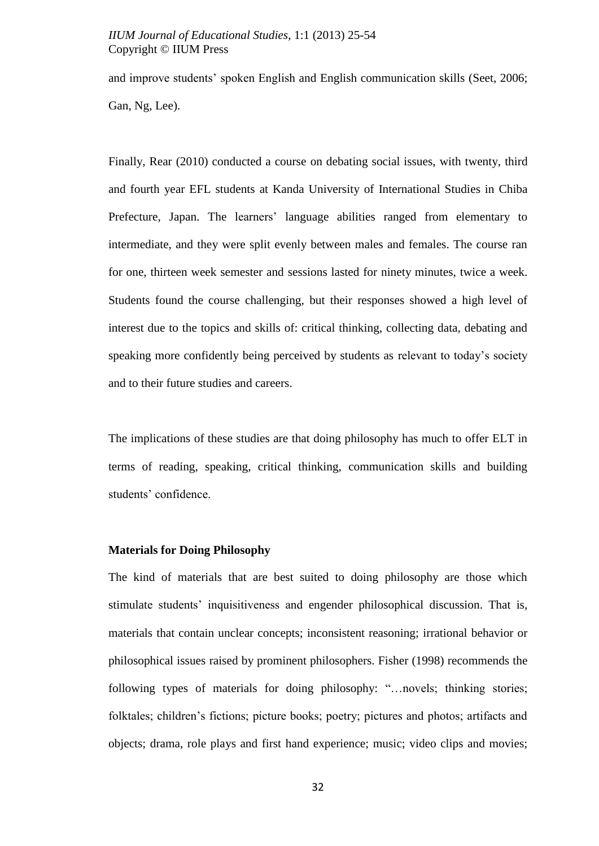and improve students' spoken English and English communication skills (Seet, 2006; Gan, Ng, Lee).

Finally, Rear (2010) conducted a course on debating social issues, with twenty, third and fourth year EFL students at Kanda University of International Studies in Chiba Prefecture, Japan. The learners" language abilities ranged from elementary to intermediate, and they were split evenly between males and females. The course ran for one, thirteen week semester and sessions lasted for ninety minutes, twice a week. Students found the course challenging, but their responses showed a high level of interest due to the topics and skills of: critical thinking, collecting data, debating and speaking more confidently being perceived by students as relevant to today"s society and to their future studies and careers.

The implications of these studies are that doing philosophy has much to offer ELT in terms of reading, speaking, critical thinking, communication skills and building students' confidence.

#### **Materials for Doing Philosophy**

The kind of materials that are best suited to doing philosophy are those which stimulate students" inquisitiveness and engender philosophical discussion. That is, materials that contain unclear concepts; inconsistent reasoning; irrational behavior or philosophical issues raised by prominent philosophers. Fisher (1998) recommends the following types of materials for doing philosophy: "…novels; thinking stories; folktales; children"s fictions; picture books; poetry; pictures and photos; artifacts and objects; drama, role plays and first hand experience; music; video clips and movies;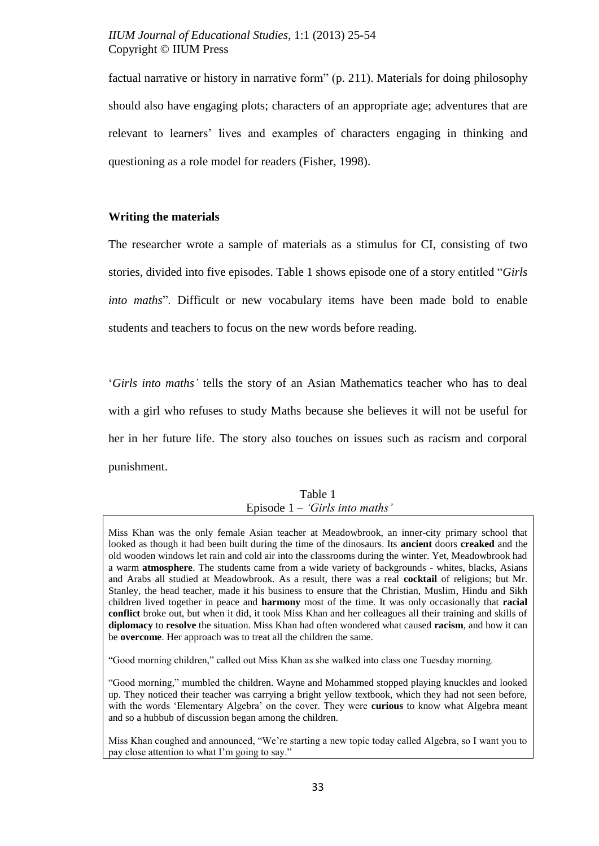factual narrative or history in narrative form" (p. 211). Materials for doing philosophy should also have engaging plots; characters of an appropriate age; adventures that are relevant to learners' lives and examples of characters engaging in thinking and questioning as a role model for readers (Fisher, 1998).

### **Writing the materials**

The researcher wrote a sample of materials as a stimulus for CI, consisting of two stories, divided into five episodes. Table 1 shows episode one of a story entitled "*Girls into maths*". Difficult or new vocabulary items have been made bold to enable students and teachers to focus on the new words before reading.

"*Girls into maths"* tells the story of an Asian Mathematics teacher who has to deal with a girl who refuses to study Maths because she believes it will not be useful for her in her future life. The story also touches on issues such as racism and corporal punishment.

# Table 1 Episode 1 – *"Girls into maths"*

Miss Khan was the only female Asian teacher at Meadowbrook, an inner-city primary school that looked as though it had been built during the time of the dinosaurs. Its **ancient** doors **creaked** and the old wooden windows let rain and cold air into the classrooms during the winter. Yet, Meadowbrook had a warm **atmosphere**. The students came from a wide variety of backgrounds - whites, blacks, Asians and Arabs all studied at Meadowbrook. As a result, there was a real **cocktail** of religions; but Mr. Stanley, the head teacher, made it his business to ensure that the Christian, Muslim, Hindu and Sikh children lived together in peace and **harmony** most of the time. It was only occasionally that **racial conflict** broke out, but when it did, it took Miss Khan and her colleagues all their training and skills of **diplomacy** to **resolve** the situation. Miss Khan had often wondered what caused **racism**, and how it can be **overcome**. Her approach was to treat all the children the same.

"Good morning children," called out Miss Khan as she walked into class one Tuesday morning.

"Good morning," mumbled the children. Wayne and Mohammed stopped playing knuckles and looked up. They noticed their teacher was carrying a bright yellow textbook, which they had not seen before, with the words "Elementary Algebra" on the cover. They were **curious** to know what Algebra meant and so a hubbub of discussion began among the children.

Miss Khan coughed and announced, "We"re starting a new topic today called Algebra, so I want you to pay close attention to what I"m going to say."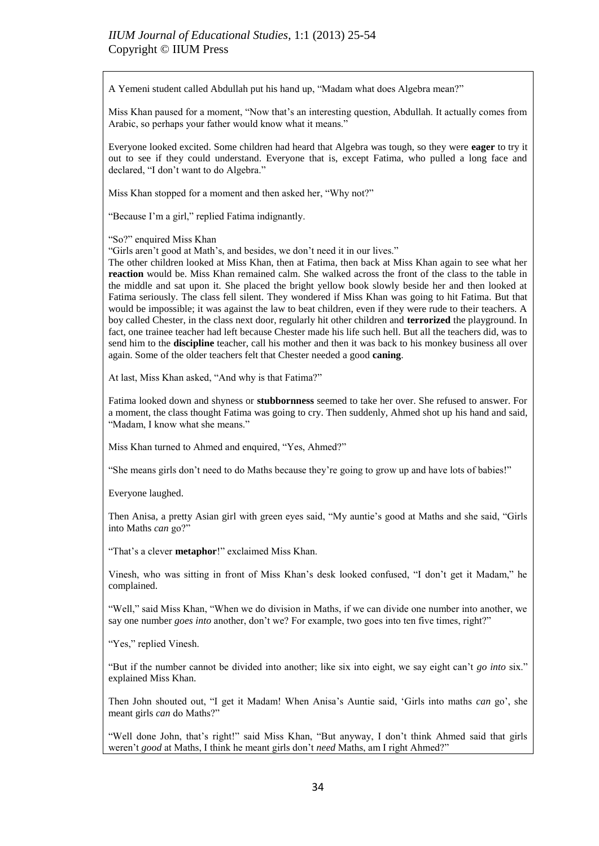A Yemeni student called Abdullah put his hand up, "Madam what does Algebra mean?"

Miss Khan paused for a moment, "Now that"s an interesting question, Abdullah. It actually comes from Arabic, so perhaps your father would know what it means."

Everyone looked excited. Some children had heard that Algebra was tough, so they were **eager** to try it out to see if they could understand. Everyone that is, except Fatima, who pulled a long face and declared, "I don"t want to do Algebra."

Miss Khan stopped for a moment and then asked her, "Why not?"

"Because I"m a girl," replied Fatima indignantly.

"So?" enquired Miss Khan

"Girls aren"t good at Math"s, and besides, we don"t need it in our lives."

The other children looked at Miss Khan, then at Fatima, then back at Miss Khan again to see what her **reaction** would be. Miss Khan remained calm. She walked across the front of the class to the table in the middle and sat upon it. She placed the bright yellow book slowly beside her and then looked at Fatima seriously. The class fell silent. They wondered if Miss Khan was going to hit Fatima. But that would be impossible; it was against the law to beat children, even if they were rude to their teachers. A boy called Chester, in the class next door, regularly hit other children and **terrorized** the playground. In fact, one trainee teacher had left because Chester made his life such hell. But all the teachers did, was to send him to the **discipline** teacher, call his mother and then it was back to his monkey business all over again. Some of the older teachers felt that Chester needed a good **caning**.

At last, Miss Khan asked, "And why is that Fatima?"

Fatima looked down and shyness or **stubbornness** seemed to take her over. She refused to answer. For a moment, the class thought Fatima was going to cry. Then suddenly, Ahmed shot up his hand and said, "Madam, I know what she means."

Miss Khan turned to Ahmed and enquired, "Yes, Ahmed?"

"She means girls don"t need to do Maths because they"re going to grow up and have lots of babies!"

Everyone laughed.

Then Anisa, a pretty Asian girl with green eyes said, "My auntie"s good at Maths and she said, "Girls into Maths *can* go?"

"That's a clever **metaphor!**" exclaimed Miss Khan.

Vinesh, who was sitting in front of Miss Khan"s desk looked confused, "I don"t get it Madam," he complained.

"Well," said Miss Khan, "When we do division in Maths, if we can divide one number into another, we say one number *goes into* another, don't we? For example, two goes into ten five times, right?"

"Yes," replied Vinesh.

"But if the number cannot be divided into another; like six into eight, we say eight can"t *go into* six." explained Miss Khan.

Then John shouted out, "I get it Madam! When Anisa"s Auntie said, "Girls into maths *can* go", she meant girls *can* do Maths?"

"Well done John, that"s right!" said Miss Khan, "But anyway, I don"t think Ahmed said that girls weren"t *good* at Maths, I think he meant girls don"t *need* Maths, am I right Ahmed?"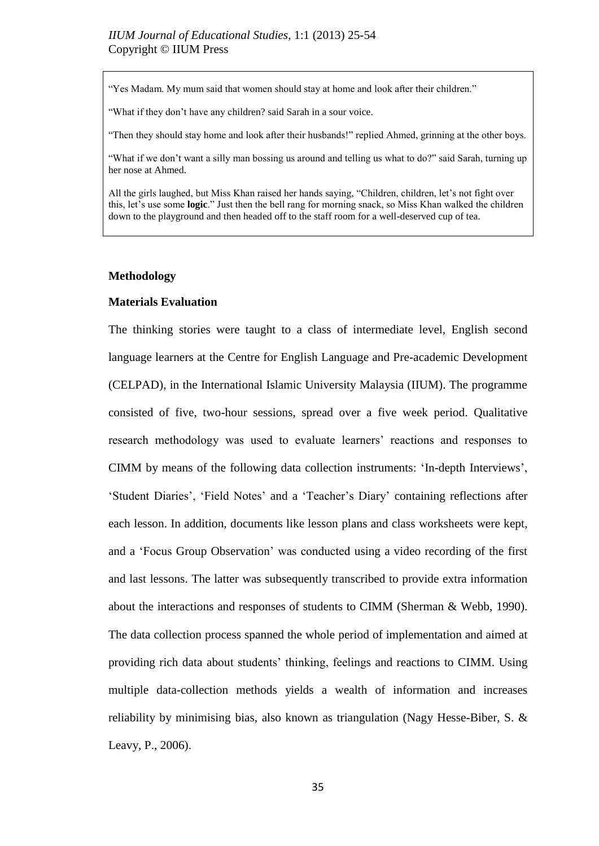"Yes Madam. My mum said that women should stay at home and look after their children."

"What if they don"t have any children? said Sarah in a sour voice.

"Then they should stay home and look after their husbands!" replied Ahmed, grinning at the other boys.

"What if we don't want a silly man bossing us around and telling us what to do?" said Sarah, turning up her nose at Ahmed.

All the girls laughed, but Miss Khan raised her hands saying, "Children, children, let's not fight over this, let"s use some **logic**." Just then the bell rang for morning snack, so Miss Khan walked the children down to the playground and then headed off to the staff room for a well-deserved cup of tea.

#### **Methodology**

#### **Materials Evaluation**

The thinking stories were taught to a class of intermediate level, English second language learners at the Centre for English Language and Pre-academic Development (CELPAD), in the International Islamic University Malaysia (IIUM). The programme consisted of five, two-hour sessions, spread over a five week period. Qualitative research methodology was used to evaluate learners' reactions and responses to CIMM by means of the following data collection instruments: "In-depth Interviews", 'Student Diaries', 'Field Notes' and a 'Teacher's Diary' containing reflections after each lesson. In addition, documents like lesson plans and class worksheets were kept, and a "Focus Group Observation" was conducted using a video recording of the first and last lessons. The latter was subsequently transcribed to provide extra information about the interactions and responses of students to CIMM (Sherman & Webb, 1990). The data collection process spanned the whole period of implementation and aimed at providing rich data about students" thinking, feelings and reactions to CIMM. Using multiple data-collection methods yields a wealth of information and increases reliability by minimising bias, also known as triangulation (Nagy Hesse-Biber, S. & Leavy, P., 2006).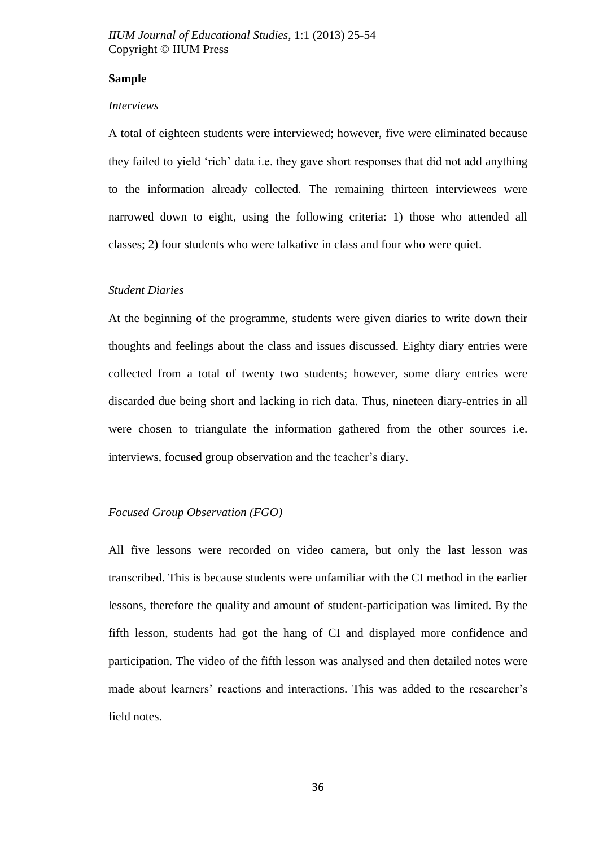#### **Sample**

#### *Interviews*

A total of eighteen students were interviewed; however, five were eliminated because they failed to yield "rich" data i.e. they gave short responses that did not add anything to the information already collected. The remaining thirteen interviewees were narrowed down to eight, using the following criteria: 1) those who attended all classes; 2) four students who were talkative in class and four who were quiet.

#### *Student Diaries*

At the beginning of the programme, students were given diaries to write down their thoughts and feelings about the class and issues discussed. Eighty diary entries were collected from a total of twenty two students; however, some diary entries were discarded due being short and lacking in rich data. Thus, nineteen diary-entries in all were chosen to triangulate the information gathered from the other sources i.e. interviews, focused group observation and the teacher's diary.

#### *Focused Group Observation (FGO)*

All five lessons were recorded on video camera, but only the last lesson was transcribed. This is because students were unfamiliar with the CI method in the earlier lessons, therefore the quality and amount of student-participation was limited. By the fifth lesson, students had got the hang of CI and displayed more confidence and participation. The video of the fifth lesson was analysed and then detailed notes were made about learners' reactions and interactions. This was added to the researcher's field notes.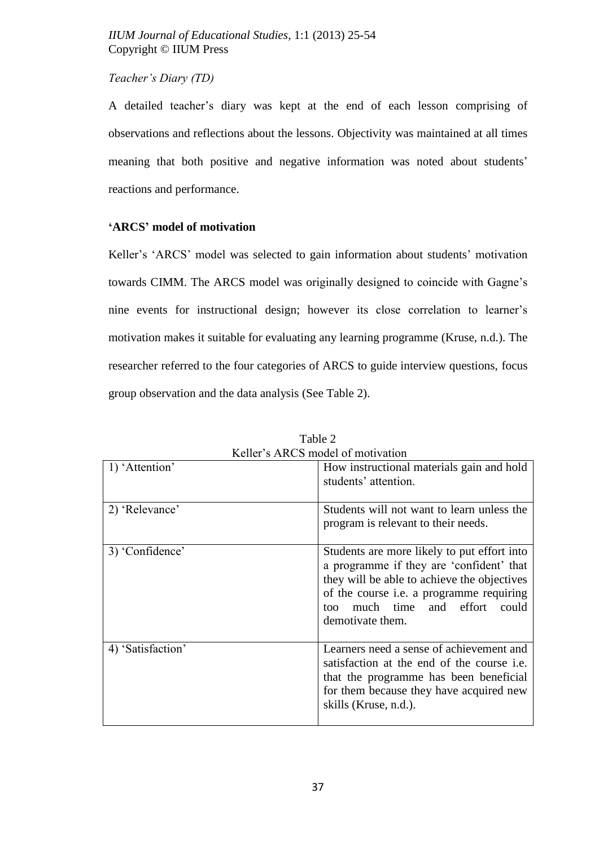# *Teacher"s Diary (TD)*

A detailed teacher"s diary was kept at the end of each lesson comprising of observations and reflections about the lessons. Objectivity was maintained at all times meaning that both positive and negative information was noted about students' reactions and performance.

# **'ARCS' model of motivation**

Keller's 'ARCS' model was selected to gain information about students' motivation towards CIMM. The ARCS model was originally designed to coincide with Gagne"s nine events for instructional design; however its close correlation to learner"s motivation makes it suitable for evaluating any learning programme (Kruse, n.d.). The researcher referred to the four categories of ARCS to guide interview questions, focus group observation and the data analysis (See Table 2).

| Reflet s ARCS model of motivation |                                                                                                                                                                                                                                                     |  |  |  |  |
|-----------------------------------|-----------------------------------------------------------------------------------------------------------------------------------------------------------------------------------------------------------------------------------------------------|--|--|--|--|
| 1) 'Attention'                    | How instructional materials gain and hold<br>students' attention.                                                                                                                                                                                   |  |  |  |  |
| 2) 'Relevance'                    | Students will not want to learn unless the<br>program is relevant to their needs.                                                                                                                                                                   |  |  |  |  |
| 3) 'Confidence'                   | Students are more likely to put effort into<br>a programme if they are 'confident' that<br>they will be able to achieve the objectives<br>of the course <i>i.e.</i> a programme requiring<br>much time and effort could<br>too.<br>demotivate them. |  |  |  |  |
| 4) 'Satisfaction'                 | Learners need a sense of achievement and<br>satisfaction at the end of the course <i>i.e.</i><br>that the programme has been beneficial<br>for them because they have acquired new<br>skills (Kruse, n.d.).                                         |  |  |  |  |

Table 2 Keller"s ARCS model of motivation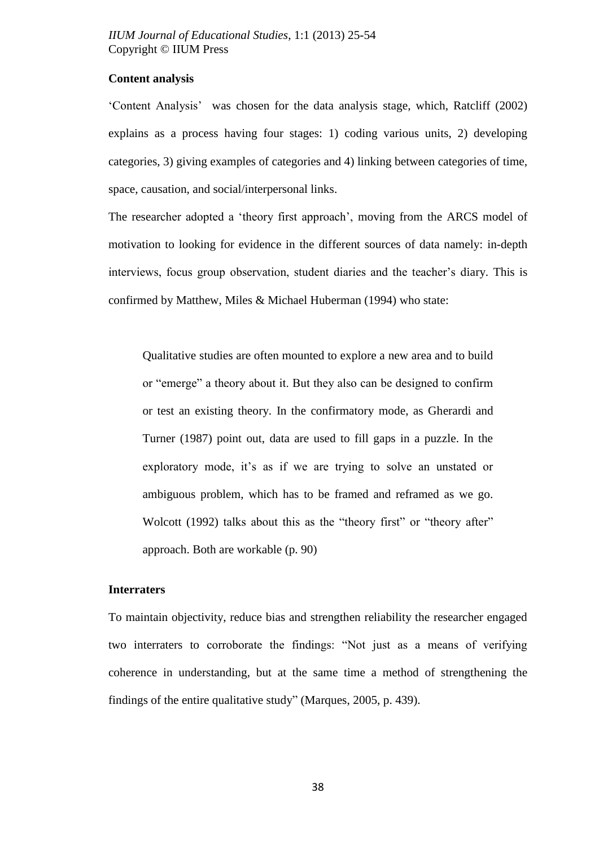# **Content analysis**

"Content Analysis" was chosen for the data analysis stage, which, Ratcliff (2002) explains as a process having four stages: 1) coding various units, 2) developing categories, 3) giving examples of categories and 4) linking between categories of time, space, causation, and social/interpersonal links.

The researcher adopted a "theory first approach", moving from the ARCS model of motivation to looking for evidence in the different sources of data namely: in-depth interviews, focus group observation, student diaries and the teacher"s diary. This is confirmed by Matthew, Miles & Michael Huberman (1994) who state:

Qualitative studies are often mounted to explore a new area and to build or "emerge" a theory about it. But they also can be designed to confirm or test an existing theory. In the confirmatory mode, as Gherardi and Turner (1987) point out, data are used to fill gaps in a puzzle. In the exploratory mode, it's as if we are trying to solve an unstated or ambiguous problem, which has to be framed and reframed as we go. Wolcott (1992) talks about this as the "theory first" or "theory after" approach. Both are workable (p. 90)

#### **Interraters**

To maintain objectivity, reduce bias and strengthen reliability the researcher engaged two interraters to corroborate the findings: "Not just as a means of verifying coherence in understanding, but at the same time a method of strengthening the findings of the entire qualitative study" (Marques, 2005, p. 439).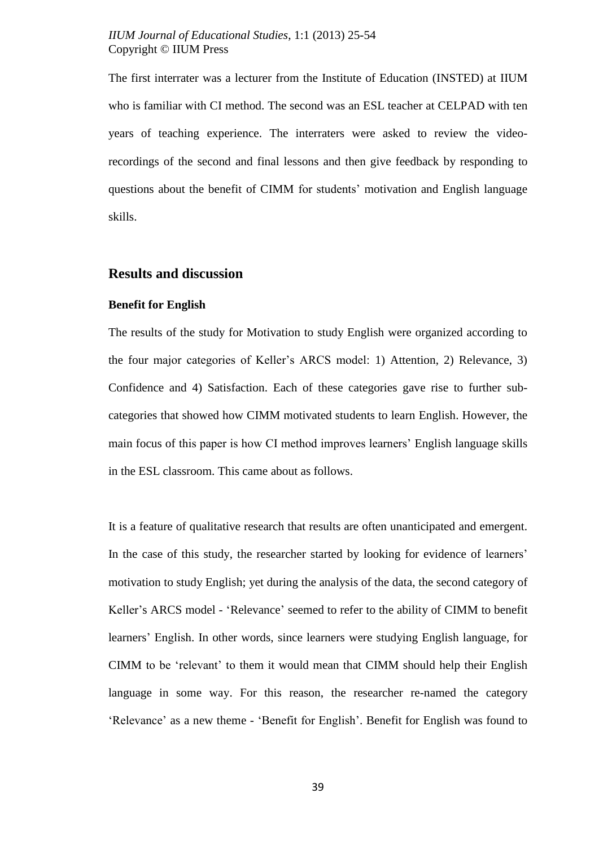The first interrater was a lecturer from the Institute of Education (INSTED) at IIUM who is familiar with CI method. The second was an ESL teacher at CELPAD with ten years of teaching experience. The interraters were asked to review the videorecordings of the second and final lessons and then give feedback by responding to questions about the benefit of CIMM for students" motivation and English language skills.

### **Results and discussion**

#### **Benefit for English**

The results of the study for Motivation to study English were organized according to the four major categories of Keller"s ARCS model: 1) Attention, 2) Relevance, 3) Confidence and 4) Satisfaction. Each of these categories gave rise to further subcategories that showed how CIMM motivated students to learn English. However, the main focus of this paper is how CI method improves learners" English language skills in the ESL classroom. This came about as follows.

It is a feature of qualitative research that results are often unanticipated and emergent. In the case of this study, the researcher started by looking for evidence of learners' motivation to study English; yet during the analysis of the data, the second category of Keller"s ARCS model - "Relevance" seemed to refer to the ability of CIMM to benefit learners" English. In other words, since learners were studying English language, for CIMM to be "relevant" to them it would mean that CIMM should help their English language in some way. For this reason, the researcher re-named the category 'Relevance' as a new theme - 'Benefit for English'. Benefit for English was found to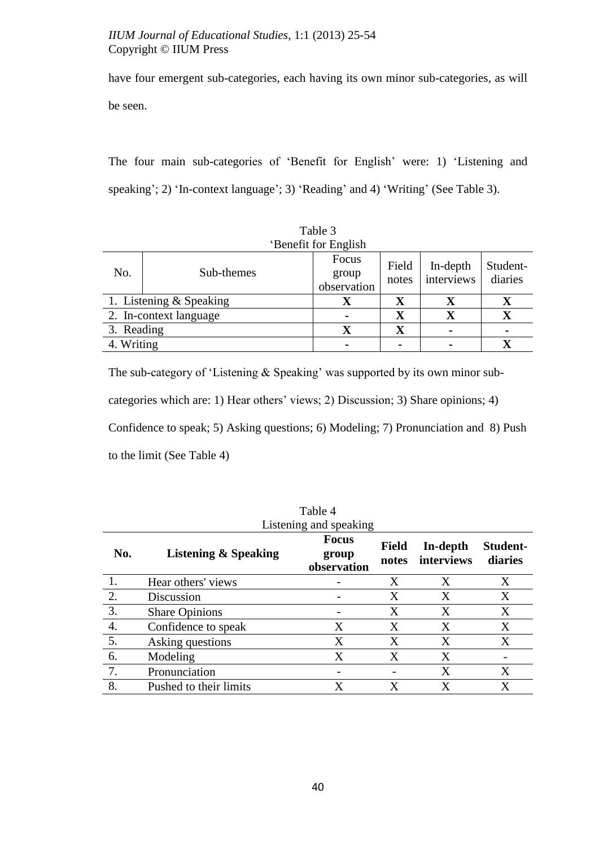have four emergent sub-categories, each having its own minor sub-categories, as will be seen.

The four main sub-categories of 'Benefit for English' were: 1) 'Listening and speaking'; 2) 'In-context language'; 3) 'Reading' and 4) 'Writing' (See Table 3).

| 'Benefit for English |                         |                               |                |                        |                     |
|----------------------|-------------------------|-------------------------------|----------------|------------------------|---------------------|
| No.                  | Sub-themes              | Focus<br>group<br>observation | Field<br>notes | In-depth<br>interviews | Student-<br>diaries |
|                      | 1. Listening & Speaking | Х                             | $\mathbf X$    | Х                      | $\bf{X}$            |
|                      | 2. In-context language  |                               | $\mathbf X$    | $\mathbf X$            | $\mathbf X$         |
| 3. Reading           |                         | $\mathbf X$                   | $\mathbf X$    | $\blacksquare$         |                     |
| 4. Writing           |                         |                               |                |                        |                     |

Table 3

The sub-category of 'Listening  $&$  Speaking' was supported by its own minor subcategories which are: 1) Hear others' views; 2) Discussion; 3) Share opinions; 4) Confidence to speak; 5) Asking questions; 6) Modeling; 7) Pronunciation and 8) Push to the limit (See Table 4)

|                        |                                 | Tavic +                              |                       |                        |                            |  |  |
|------------------------|---------------------------------|--------------------------------------|-----------------------|------------------------|----------------------------|--|--|
| Listening and speaking |                                 |                                      |                       |                        |                            |  |  |
| No.                    | <b>Listening &amp; Speaking</b> | <b>Focus</b><br>group<br>observation | <b>Field</b><br>notes | In-depth<br>interviews | <b>Student-</b><br>diaries |  |  |
|                        | Hear others' views              |                                      | X                     | X                      | X                          |  |  |
| 2.                     | Discussion                      |                                      | X                     | X                      | X                          |  |  |
| 3.                     | <b>Share Opinions</b>           |                                      | X                     | X                      | X                          |  |  |
| 4.                     | Confidence to speak             | X                                    | X                     | X                      | X                          |  |  |
| 5.                     | Asking questions                | X                                    | X                     | X                      | X                          |  |  |
| 6.                     | Modeling                        | X                                    | X                     | X                      |                            |  |  |
| 7.                     | Pronunciation                   |                                      |                       | X                      | X                          |  |  |
| 8.                     | Pushed to their limits          |                                      | X                     | X                      | X                          |  |  |

Table 4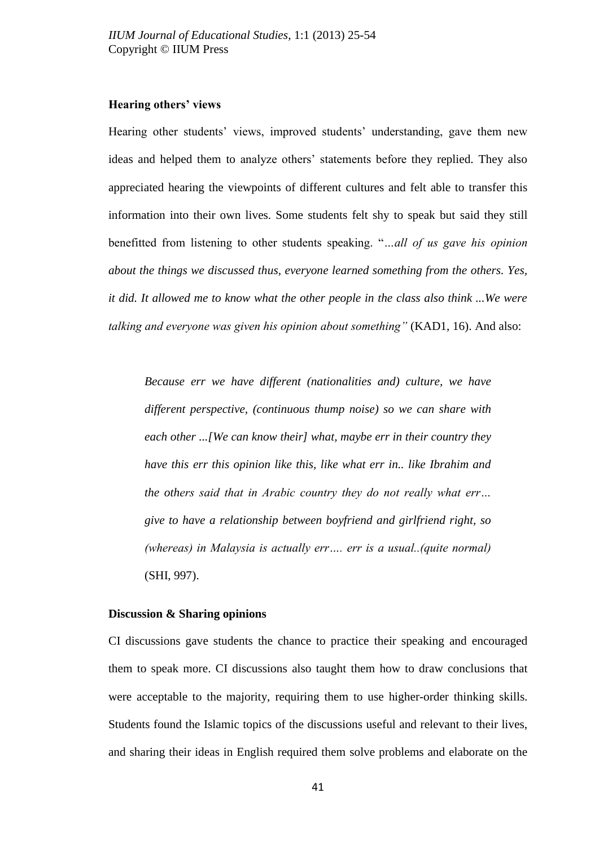# **Hearing others' views**

Hearing other students' views, improved students' understanding, gave them new ideas and helped them to analyze others" statements before they replied. They also appreciated hearing the viewpoints of different cultures and felt able to transfer this information into their own lives. Some students felt shy to speak but said they still benefitted from listening to other students speaking. "*…all of us gave his opinion about the things we discussed thus, everyone learned something from the others. Yes, it did. It allowed me to know what the other people in the class also think ...We were talking and everyone was given his opinion about something"* (KAD1, 16). And also:

*Because err we have different (nationalities and) culture, we have different perspective, (continuous thump noise) so we can share with each other ...[We can know their] what, maybe err in their country they have this err this opinion like this, like what err in.. like Ibrahim and the others said that in Arabic country they do not really what err… give to have a relationship between boyfriend and girlfriend right, so (whereas) in Malaysia is actually err…. err is a usual..(quite normal)*  (SHI, 997).

#### **Discussion & Sharing opinions**

CI discussions gave students the chance to practice their speaking and encouraged them to speak more. CI discussions also taught them how to draw conclusions that were acceptable to the majority, requiring them to use higher-order thinking skills. Students found the Islamic topics of the discussions useful and relevant to their lives, and sharing their ideas in English required them solve problems and elaborate on the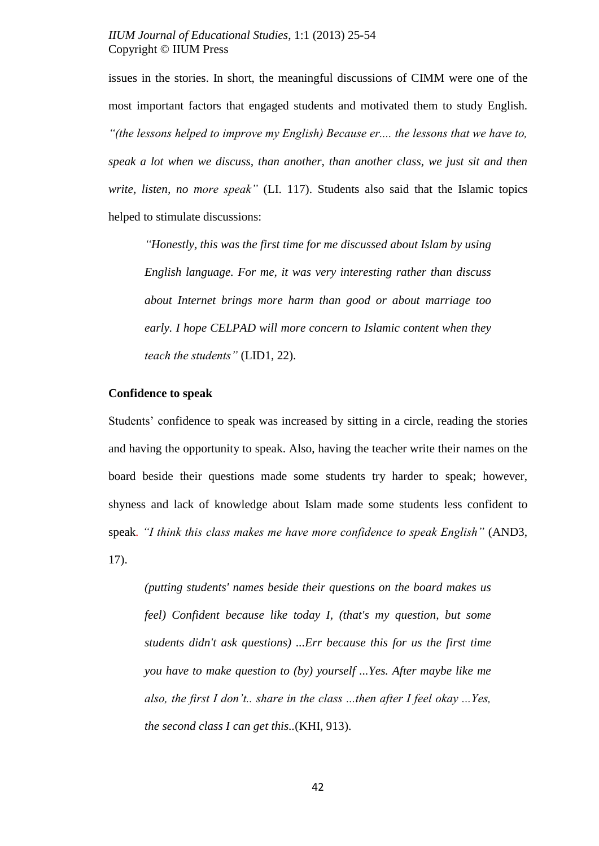issues in the stories. In short, the meaningful discussions of CIMM were one of the most important factors that engaged students and motivated them to study English. *"(the lessons helped to improve my English) Because er.... the lessons that we have to, speak a lot when we discuss, than another, than another class, we just sit and then write, listen, no more speak"* (LI. 117). Students also said that the Islamic topics helped to stimulate discussions:

*"Honestly, this was the first time for me discussed about Islam by using English language. For me, it was very interesting rather than discuss about Internet brings more harm than good or about marriage too early. I hope CELPAD will more concern to Islamic content when they teach the students"* (LID1, 22).

#### **Confidence to speak**

Students' confidence to speak was increased by sitting in a circle, reading the stories and having the opportunity to speak. Also, having the teacher write their names on the board beside their questions made some students try harder to speak; however, shyness and lack of knowledge about Islam made some students less confident to speak*. "I think this class makes me have more confidence to speak English"* (AND3, 17).

*(putting students' names beside their questions on the board makes us feel) Confident because like today I, (that's my question, but some students didn't ask questions) ...Err because this for us the first time you have to make question to (by) yourself ...Yes. After maybe like me also, the first I don"t.. share in the class ...then after I feel okay ...Yes, the second class I can get this..*(KHI, 913).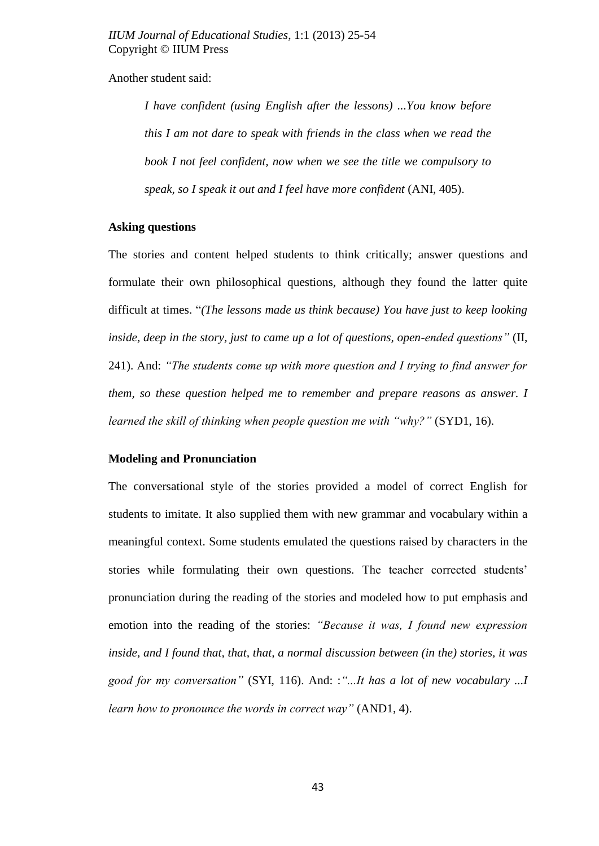Another student said:

*I have confident (using English after the lessons) ...You know before this I am not dare to speak with friends in the class when we read the book I not feel confident, now when we see the title we compulsory to speak, so I speak it out and I feel have more confident* (ANI, 405).

#### **Asking questions**

The stories and content helped students to think critically; answer questions and formulate their own philosophical questions, although they found the latter quite difficult at times. "*(The lessons made us think because) You have just to keep looking inside, deep in the story, just to came up a lot of questions, open-ended questions"* (II, 241). And: *"The students come up with more question and I trying to find answer for them, so these question helped me to remember and prepare reasons as answer. I learned the skill of thinking when people question me with "why?" (SYD1, 16).* 

#### **Modeling and Pronunciation**

The conversational style of the stories provided a model of correct English for students to imitate. It also supplied them with new grammar and vocabulary within a meaningful context. Some students emulated the questions raised by characters in the stories while formulating their own questions. The teacher corrected students' pronunciation during the reading of the stories and modeled how to put emphasis and emotion into the reading of the stories: *"Because it was, I found new expression inside, and I found that, that, that, a normal discussion between (in the) stories, it was good for my conversation"* (SYI, 116). And: :*"...It has a lot of new vocabulary ...I learn how to pronounce the words in correct way"* (AND1, 4).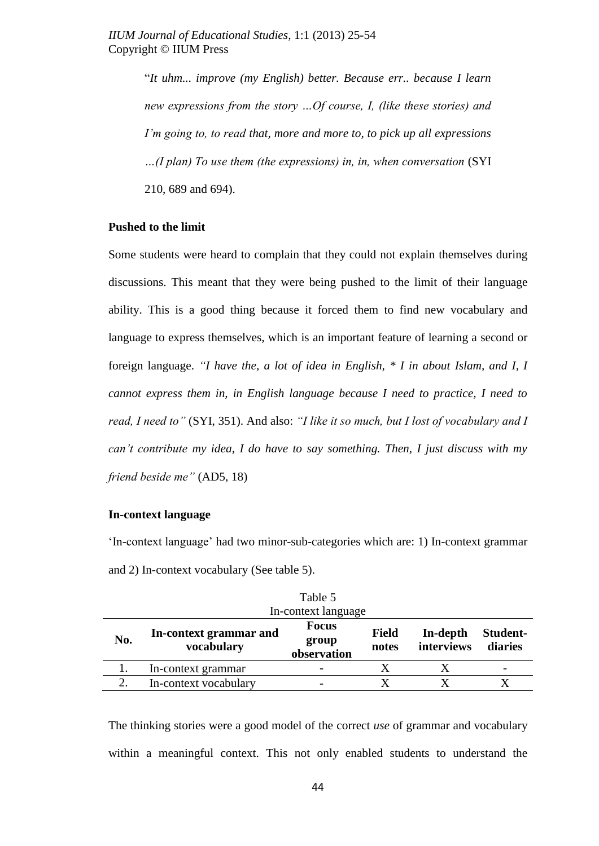"*It uhm... improve (my English) better. Because err.. because I learn new expressions from the story …Of course, I, (like these stories) and I"m going to, to read that, more and more to, to pick up all expressions …(I plan) To use them (the expressions) in, in, when conversation* (SYI 210, 689 and 694).

### **Pushed to the limit**

Some students were heard to complain that they could not explain themselves during discussions. This meant that they were being pushed to the limit of their language ability. This is a good thing because it forced them to find new vocabulary and language to express themselves, which is an important feature of learning a second or foreign language. *"I have the, a lot of idea in English, \* I in about Islam, and I, I cannot express them in, in English language because I need to practice, I need to read, I need to"* (SYI, 351). And also: *"I like it so much, but I lost of vocabulary and I can"t contribute my idea, I do have to say something. Then, I just discuss with my friend beside me"* (AD5, 18)

#### **In-context language**

"In-context language" had two minor-sub-categories which are: 1) In-context grammar and 2) In-context vocabulary (See table 5).

| Table 5             |                                      |                                      |                       |                        |                     |
|---------------------|--------------------------------------|--------------------------------------|-----------------------|------------------------|---------------------|
| In-context language |                                      |                                      |                       |                        |                     |
| No.                 | In-context grammar and<br>vocabulary | <b>Focus</b><br>group<br>observation | <b>Field</b><br>notes | In-depth<br>interviews | Student-<br>diaries |
|                     | In-context grammar                   |                                      |                       |                        |                     |
| 2.                  | In-context vocabulary                |                                      |                       |                        |                     |

The thinking stories were a good model of the correct *use* of grammar and vocabulary within a meaningful context. This not only enabled students to understand the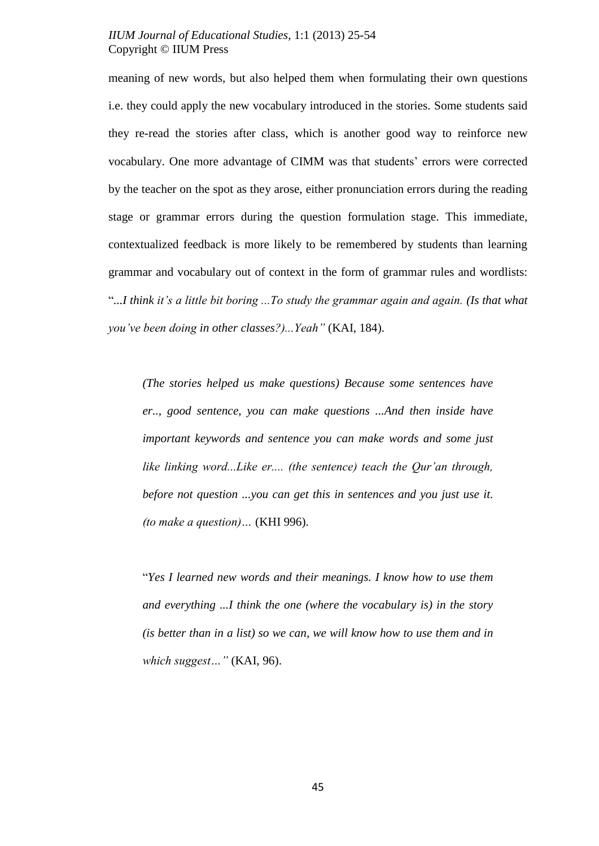meaning of new words, but also helped them when formulating their own questions i.e. they could apply the new vocabulary introduced in the stories. Some students said they re-read the stories after class, which is another good way to reinforce new vocabulary. One more advantage of CIMM was that students" errors were corrected by the teacher on the spot as they arose, either pronunciation errors during the reading stage or grammar errors during the question formulation stage. This immediate, contextualized feedback is more likely to be remembered by students than learning grammar and vocabulary out of context in the form of grammar rules and wordlists: "*...I think it"s a little bit boring ...To study the grammar again and again. (Is that what you"ve been doing in other classes?)...Yeah"* (KAI, 184).

*(The stories helped us make questions) Because some sentences have er.., good sentence, you can make questions ...And then inside have important keywords and sentence you can make words and some just like linking word...Like er.... (the sentence) teach the Qur"an through, before not question ...you can get this in sentences and you just use it. (to make a question)…* (KHI 996).

"*Yes I learned new words and their meanings. I know how to use them and everything ...I think the one (where the vocabulary is) in the story (is better than in a list) so we can, we will know how to use them and in which suggest…"* (KAI, 96).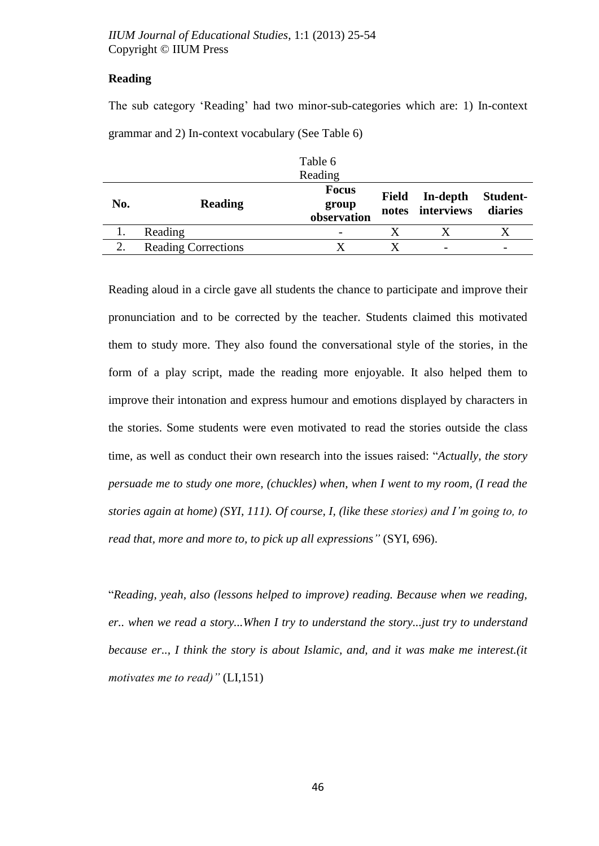# **Reading**

The sub category "Reading" had two minor-sub-categories which are: 1) In-context grammar and 2) In-context vocabulary (See Table 6)

|                  |                            | Table 6      |              |                              |                     |
|------------------|----------------------------|--------------|--------------|------------------------------|---------------------|
|                  |                            | Reading      |              |                              |                     |
|                  |                            | <b>Focus</b> |              |                              |                     |
| No.              | <b>Reading</b>             | group        | <b>Field</b> | In-depth<br>notes interviews | Student-<br>diaries |
|                  |                            | observation  |              |                              |                     |
|                  | Reading                    |              |              |                              |                     |
| $\overline{2}$ . | <b>Reading Corrections</b> |              |              |                              |                     |

Reading aloud in a circle gave all students the chance to participate and improve their pronunciation and to be corrected by the teacher. Students claimed this motivated them to study more. They also found the conversational style of the stories, in the form of a play script, made the reading more enjoyable. It also helped them to improve their intonation and express humour and emotions displayed by characters in the stories. Some students were even motivated to read the stories outside the class time, as well as conduct their own research into the issues raised: "*Actually, the story persuade me to study one more, (chuckles) when, when I went to my room, (I read the stories again at home) (SYI, 111). Of course, I, (like these stories) and I"m going to, to read that, more and more to, to pick up all expressions"* (SYI, 696).

"*Reading, yeah, also (lessons helped to improve) reading. Because when we reading, er.. when we read a story...When I try to understand the story...just try to understand because er.., I think the story is about Islamic, and, and it was make me interest.(it motivates me to read)"* (LI,151)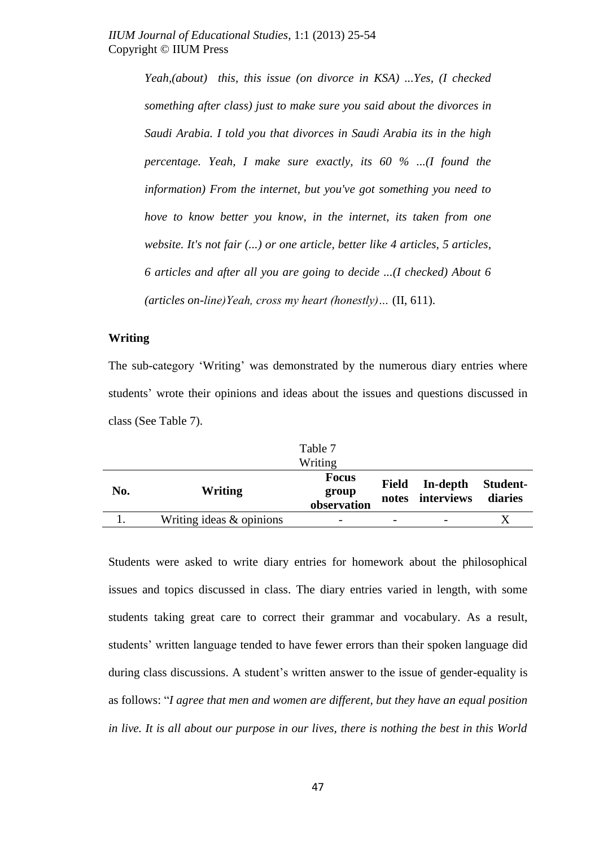*Yeah,(about) this, this issue (on divorce in KSA) ...Yes, (I checked something after class) just to make sure you said about the divorces in Saudi Arabia. I told you that divorces in Saudi Arabia its in the high percentage. Yeah, I make sure exactly, its 60 % ...(I found the information) From the internet, but you've got something you need to hove to know better you know, in the internet, its taken from one website. It's not fair (...) or one article, better like 4 articles, 5 articles, 6 articles and after all you are going to decide ...(I checked) About 6 (articles on-line)Yeah, cross my heart (honestly)…* (II, 611).

#### **Writing**

The sub-category 'Writing' was demonstrated by the numerous diary entries where students' wrote their opinions and ideas about the issues and questions discussed in class (See Table 7).

Table 7

|     |                          | Writing                              |                                    |                     |
|-----|--------------------------|--------------------------------------|------------------------------------|---------------------|
| No. | Writing                  | <b>Focus</b><br>group<br>observation | Field In-depth<br>notes interviews | Student-<br>diaries |
|     | Writing ideas & opinions | $\overline{\phantom{0}}$             |                                    |                     |

Students were asked to write diary entries for homework about the philosophical issues and topics discussed in class. The diary entries varied in length, with some students taking great care to correct their grammar and vocabulary. As a result, students" written language tended to have fewer errors than their spoken language did during class discussions. A student"s written answer to the issue of gender-equality is as follows: "*I agree that men and women are different, but they have an equal position in live. It is all about our purpose in our lives, there is nothing the best in this World*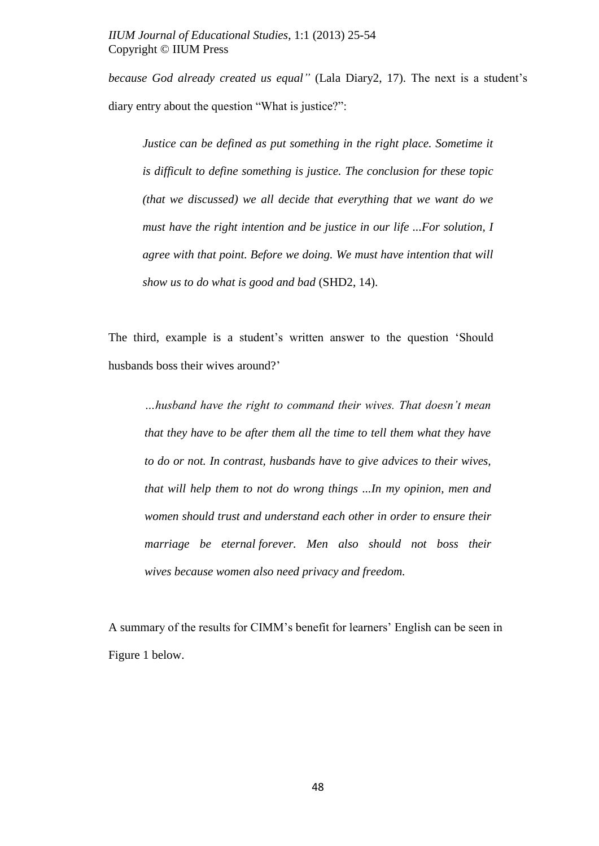*because God already created us equal"* (Lala Diary2, 17). The next is a student"s diary entry about the question "What is justice?":

*Justice can be defined as put something in the right place. Sometime it is difficult to define something is justice. The conclusion for these topic (that we discussed) we all decide that everything that we want do we must have the right intention and be justice in our life ...For solution, I agree with that point. Before we doing. We must have intention that will show us to do what is good and bad* (SHD2, 14).

The third, example is a student"s written answer to the question "Should husbands boss their wives around?"

*…husband have the right to command their wives. That doesn"t mean that they have to be after them all the time to tell them what they have to do or not. In contrast, husbands have to give advices to their wives, that will help them to not do wrong things ...In my opinion, men and women should trust and understand each other in order to ensure their marriage be eternal forever. Men also should not boss their wives because women also need privacy and freedom.*

A summary of the results for CIMM"s benefit for learners" English can be seen in Figure 1 below.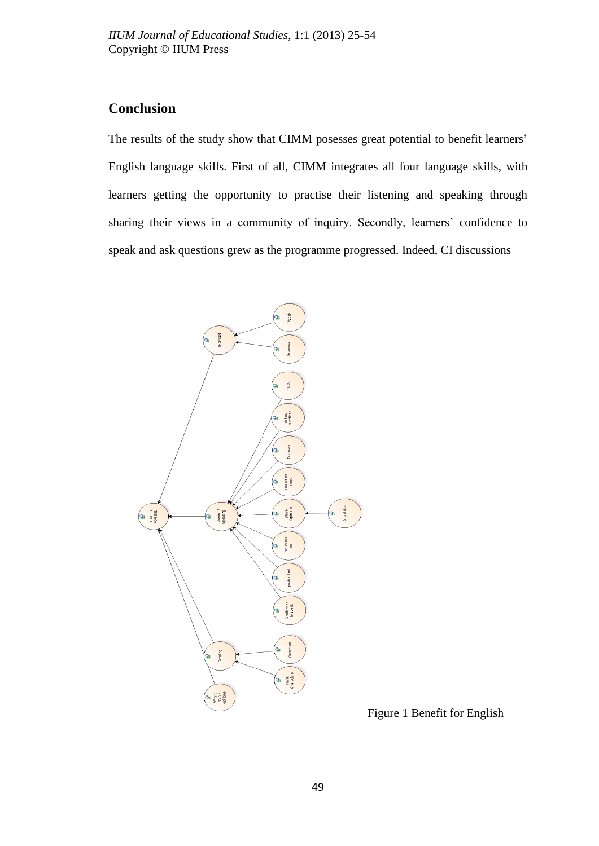# **Conclusion**

The results of the study show that CIMM posesses great potential to benefit learners' English language skills. First of all, CIMM integrates all four language skills, with learners getting the opportunity to practise their listening and speaking through sharing their views in a community of inquiry. Secondly, learners' confidence to speak and ask questions grew as the programme progressed. Indeed, CI discussions



Figure 1 Benefit for English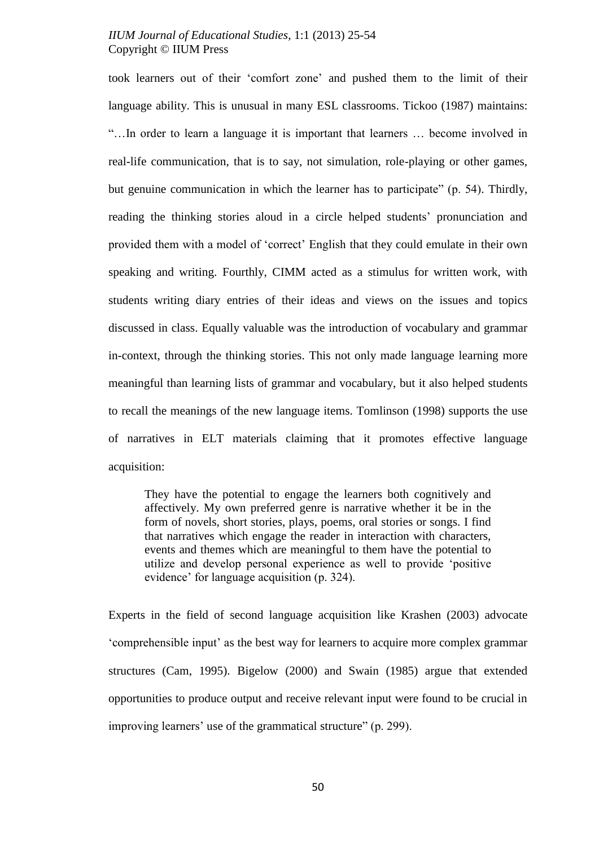took learners out of their "comfort zone" and pushed them to the limit of their language ability. This is unusual in many ESL classrooms. Tickoo (1987) maintains: "…In order to learn a language it is important that learners … become involved in real-life communication, that is to say, not simulation, role-playing or other games, but genuine communication in which the learner has to participate" (p. 54). Thirdly, reading the thinking stories aloud in a circle helped students" pronunciation and provided them with a model of "correct" English that they could emulate in their own speaking and writing. Fourthly, CIMM acted as a stimulus for written work, with students writing diary entries of their ideas and views on the issues and topics discussed in class. Equally valuable was the introduction of vocabulary and grammar in-context, through the thinking stories. This not only made language learning more meaningful than learning lists of grammar and vocabulary, but it also helped students to recall the meanings of the new language items. Tomlinson (1998) supports the use of narratives in ELT materials claiming that it promotes effective language acquisition:

They have the potential to engage the learners both cognitively and affectively. My own preferred genre is narrative whether it be in the form of novels, short stories, plays, poems, oral stories or songs. I find that narratives which engage the reader in interaction with characters, events and themes which are meaningful to them have the potential to utilize and develop personal experience as well to provide "positive evidence" for language acquisition (p. 324).

Experts in the field of second language acquisition like Krashen (2003) advocate "comprehensible input" as the best way for learners to acquire more complex grammar structures (Cam, 1995). Bigelow (2000) and Swain (1985) argue that extended opportunities to produce output and receive relevant input were found to be crucial in improving learners' use of the grammatical structure" (p. 299).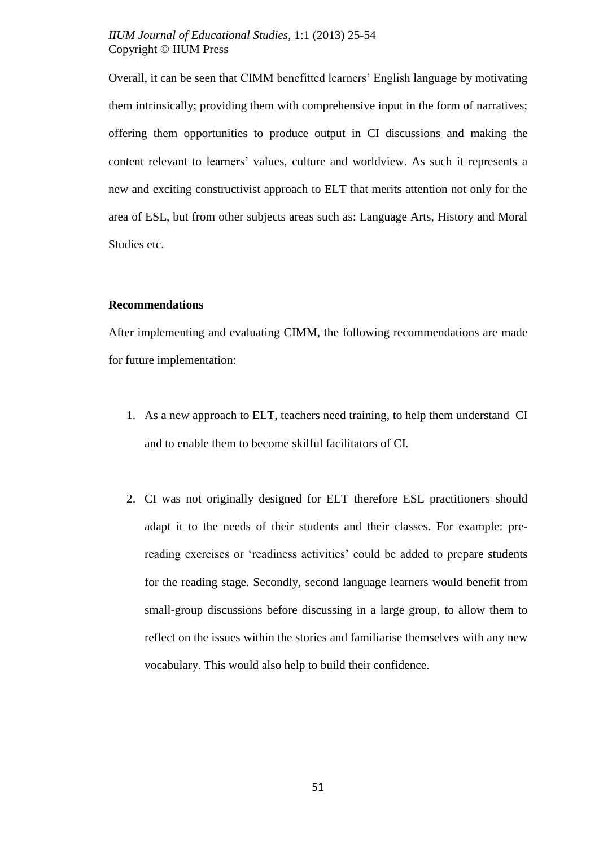Overall, it can be seen that CIMM benefitted learners" English language by motivating them intrinsically; providing them with comprehensive input in the form of narratives; offering them opportunities to produce output in CI discussions and making the content relevant to learners" values, culture and worldview. As such it represents a new and exciting constructivist approach to ELT that merits attention not only for the area of ESL, but from other subjects areas such as: Language Arts, History and Moral Studies etc.

#### **Recommendations**

After implementing and evaluating CIMM, the following recommendations are made for future implementation:

- 1. As a new approach to ELT, teachers need training, to help them understand CI and to enable them to become skilful facilitators of CI.
- 2. CI was not originally designed for ELT therefore ESL practitioners should adapt it to the needs of their students and their classes. For example: prereading exercises or "readiness activities" could be added to prepare students for the reading stage. Secondly, second language learners would benefit from small-group discussions before discussing in a large group, to allow them to reflect on the issues within the stories and familiarise themselves with any new vocabulary. This would also help to build their confidence.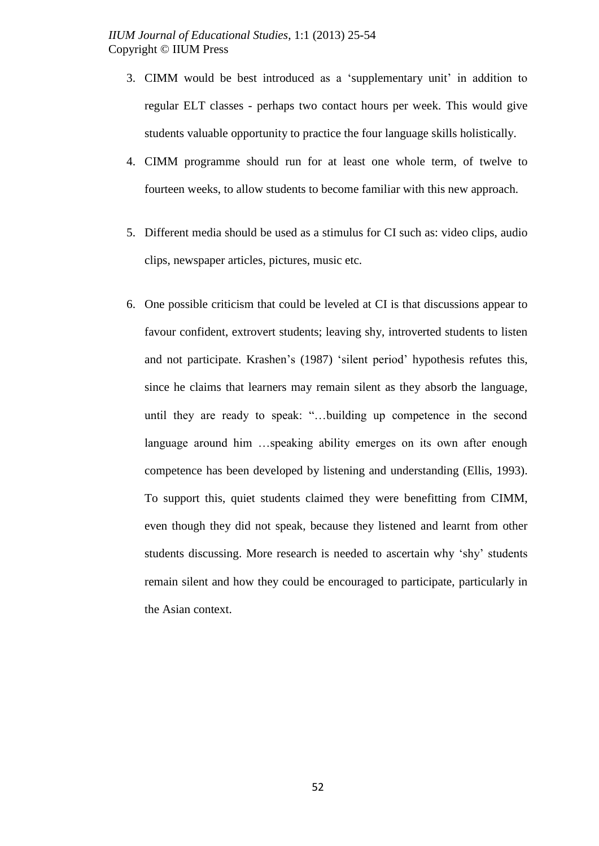- 3. CIMM would be best introduced as a "supplementary unit" in addition to regular ELT classes - perhaps two contact hours per week. This would give students valuable opportunity to practice the four language skills holistically.
- 4. CIMM programme should run for at least one whole term, of twelve to fourteen weeks, to allow students to become familiar with this new approach.
- 5. Different media should be used as a stimulus for CI such as: video clips, audio clips, newspaper articles, pictures, music etc.
- 6. One possible criticism that could be leveled at CI is that discussions appear to favour confident, extrovert students; leaving shy, introverted students to listen and not participate. Krashen's (1987) 'silent period' hypothesis refutes this, since he claims that learners may remain silent as they absorb the language, until they are ready to speak: "…building up competence in the second language around him …speaking ability emerges on its own after enough competence has been developed by listening and understanding (Ellis, 1993). To support this, quiet students claimed they were benefitting from CIMM, even though they did not speak, because they listened and learnt from other students discussing. More research is needed to ascertain why "shy" students remain silent and how they could be encouraged to participate, particularly in the Asian context.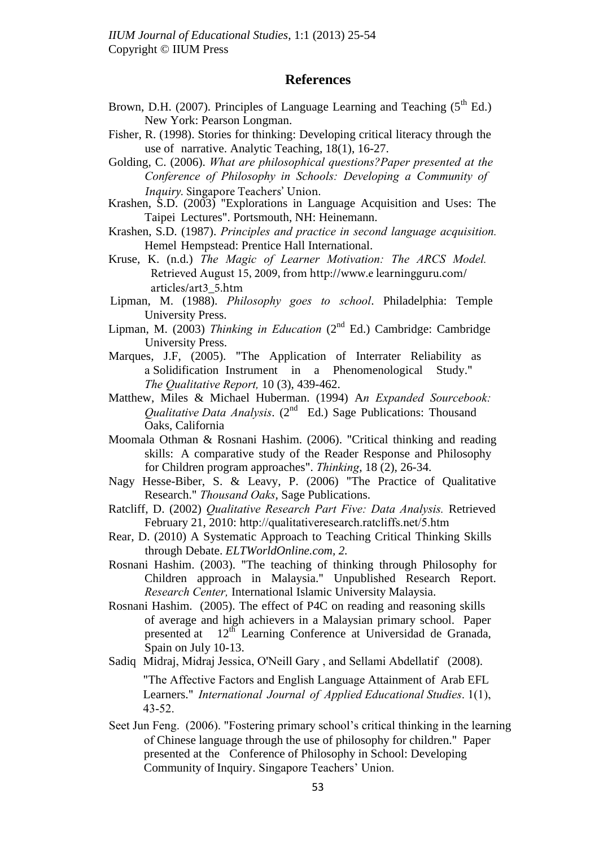# **References**

- Brown, D.H. (2007). Principles of Language Learning and Teaching  $(5^{th}$  Ed.) New York: Pearson Longman.
- Fisher, R. (1998). Stories for thinking: Developing critical literacy through the use of narrative. Analytic Teaching, 18(1), 16-27.
- Golding, C. (2006). *What are philosophical questions?Paper presented at the Conference of Philosophy in Schools: Developing a Community of Inquiry.* Singapore Teachers' Union.
- Krashen, S.D. (2003) "Explorations in Language Acquisition and Uses: The Taipei Lectures". Portsmouth, NH: Heinemann.
- Krashen, S.D. (1987). *Principles and practice in second language acquisition.* Hemel Hempstead: Prentice Hall International.
- Kruse, K. (n.d.) *The Magic of Learner Motivation: The ARCS Model.* Retrieved August 15, 2009, from http://www.e learningguru.com/ articles/art3\_5.htm
- Lipman, M. (1988). *Philosophy goes to school*. Philadelphia: Temple University Press.
- Lipman, M. (2003) *Thinking in Education* ( $2<sup>nd</sup>$  Ed.) Cambridge: Cambridge University Press.
- Marques, J.F, (2005). "The Application of Interrater Reliability as a Solidification Instrument in a Phenomenological Study." *The Qualitative Report,* 10 (3), 439-462.
- Matthew, Miles & Michael Huberman. (1994) A*n Expanded Sourcebook: Qualitative Data Analysis.* (2<sup>nd</sup> Ed.) Sage Publications: Thousand Oaks, California
- Moomala Othman & Rosnani Hashim. (2006). "Critical thinking and reading skills: A comparative study of the Reader Response and Philosophy for Children program approaches". *Thinking*, 18 (2), 26-34.
- Nagy Hesse-Biber, S. & Leavy, P. (2006) "The Practice of Qualitative Research." *Thousand Oaks*, Sage Publications.
- Ratcliff, D. (2002) *Qualitative Research Part Five: Data Analysis.* Retrieved February 21, 2010: <http://qualitativeresearch.ratcliffs.net/5.htm>
- Rear, D. (2010) A Systematic Approach to Teaching Critical Thinking Skills through Debate. *ELTWorldOnline.com, 2.*
- Rosnani Hashim. (2003). "The teaching of thinking through Philosophy for Children approach in Malaysia." Unpublished Research Report. *Research Center,* International Islamic University Malaysia.
- Rosnani Hashim. (2005). The effect of P4C on reading and reasoning skills of average and high achievers in a Malaysian primary school. Paper presented at 12<sup>th</sup> Learning Conference at Universidad de Granada, Spain on July 10-13.
- [Sadiq Midraj](javascript:void(0);), Midraj Jessica, O'Neill Gary , and Sellami Abdellatif (2008). "The Affective Factors and English Language Attainment of Arab EFL Learners." *International Journal of Applied Educational Studies*. 1(1), 43-52.
- Seet Jun Feng. (2006). "Fostering primary school's critical thinking in the learning of Chinese language through the use of philosophy for children." Paper presented at the Conference of Philosophy in School: Developing Community of Inquiry. Singapore Teachers" Union.